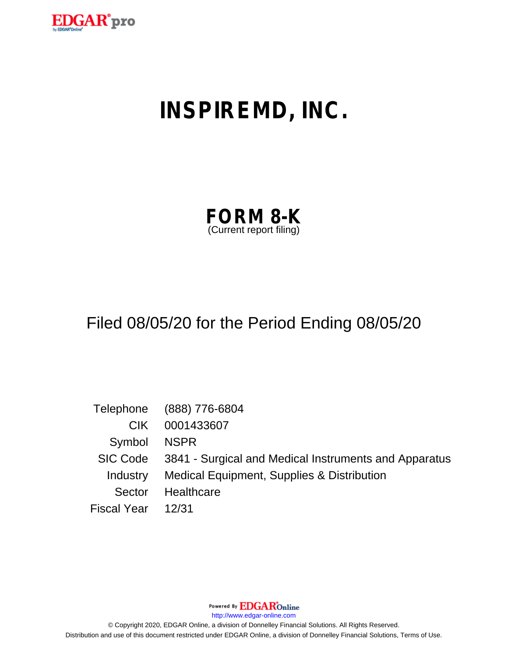

# **INSPIREMD, INC.**

| <b>FORM 8-K</b>         |  |
|-------------------------|--|
| (Current report filing) |  |

## Filed 08/05/20 for the Period Ending 08/05/20

|                   | Telephone (888) 776-6804                                       |
|-------------------|----------------------------------------------------------------|
| CIK.              | 0001433607                                                     |
| Symbol            | NSPR                                                           |
|                   | SIC Code 3841 - Surgical and Medical Instruments and Apparatus |
| Industry          | Medical Equipment, Supplies & Distribution                     |
| Sector            | Healthcare                                                     |
| Fiscal Year 12/31 |                                                                |

Powered By **EDGAR**Online

http://www.edgar-online.com

© Copyright 2020, EDGAR Online, a division of Donnelley Financial Solutions. All Rights Reserved. Distribution and use of this document restricted under EDGAR Online, a division of Donnelley Financial Solutions, Terms of Use.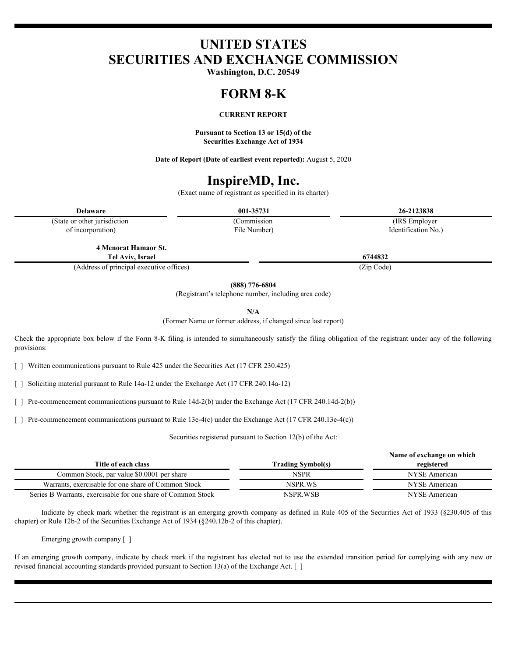## **UNITED STATES SECURITIES AND EXCHANGE COMMISSION**

**Washington, D.C. 20549**

## **FORM 8-K**

#### **CURRENT REPORT**

**Pursuant to Section 13 or 15(d) of the Securities Exchange Act of 1934**

**Date of Report (Date of earliest event reported):** August 5, 2020

### **InspireMD, Inc.**

(Exact name of registrant as specified in its charter)

(State or other jurisdiction of incorporation)

(Commission File Number)

**Delaware 001-35731 26-2123838** (IRS Employer Identification No.)

**4 Menorat Hamaor St. Tel Aviv, Israel 6744832**

(Address of principal executive offices) (Zip Code)

**(888) 776-6804**

(Registrant's telephone number, including area code)

**N/A**

(Former Name or former address, if changed since last report)

Check the appropriate box below if the Form 8-K filing is intended to simultaneously satisfy the filing obligation of the registrant under any of the following provisions:

[ ] Written communications pursuant to Rule 425 under the Securities Act (17 CFR 230.425)

[ ] Soliciting material pursuant to Rule 14a-12 under the Exchange Act (17 CFR 240.14a-12)

[ ] Pre-commencement communications pursuant to Rule 14d-2(b) under the Exchange Act (17 CFR 240.14d-2(b))

[ ] Pre-commencement communications pursuant to Rule 13e-4(c) under the Exchange Act (17 CFR 240.13e-4(c))

Securities registered pursuant to Section 12(b) of the Act:

|                                                              |                   | Name of exchange on which |
|--------------------------------------------------------------|-------------------|---------------------------|
| Title of each class                                          | Trading Symbol(s) | registered                |
| Common Stock, par value \$0,0001 per share                   | NSPR              | NYSE American             |
| Warrants, exercisable for one share of Common Stock          | NSPR.WS           | NYSE American             |
| Series B Warrants, exercisable for one share of Common Stock | NSPR.WSB          | NYSE American             |

Indicate by check mark whether the registrant is an emerging growth company as defined in Rule 405 of the Securities Act of 1933 (§230.405 of this chapter) or Rule 12b-2 of the Securities Exchange Act of 1934 (§240.12b-2 of this chapter).

Emerging growth company [ ]

If an emerging growth company, indicate by check mark if the registrant has elected not to use the extended transition period for complying with any new or revised financial accounting standards provided pursuant to Section 13(a) of the Exchange Act. [ ]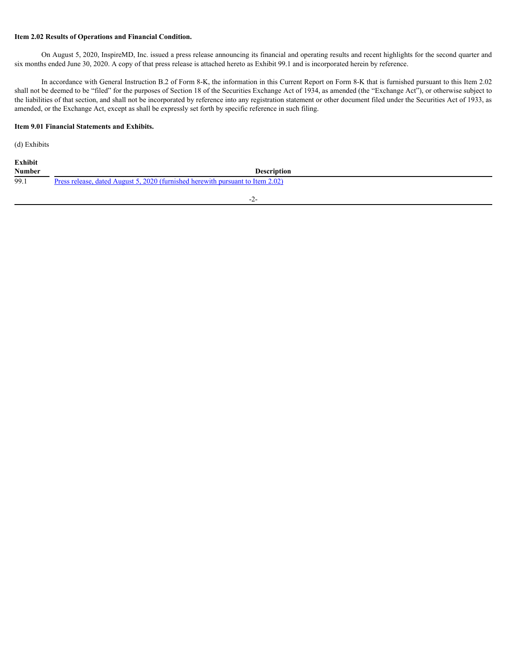#### **Item 2.02 Results of Operations and Financial Condition.**

On August 5, 2020, InspireMD, Inc. issued a press release announcing its financial and operating results and recent highlights for the second quarter and six months ended June 30, 2020. A copy of that press release is attached hereto as Exhibit 99.1 and is incorporated herein by reference.

In accordance with General Instruction B.2 of Form 8-K, the information in this Current Report on Form 8-K that is furnished pursuant to this Item 2.02 shall not be deemed to be "filed" for the purposes of Section 18 of the Securities Exchange Act of 1934, as amended (the "Exchange Act"), or otherwise subject to the liabilities of that section, and shall not be incorporated by reference into any registration statement or other document filed under the Securities Act of 1933, as amended, or the Exchange Act, except as shall be expressly set forth by specific reference in such filing.

#### **Item 9.01 Financial Statements and Exhibits.**

(d) Exhibits

| Exhibit       |                                                                                |
|---------------|--------------------------------------------------------------------------------|
| <b>Number</b> | Description                                                                    |
| 99.1          | Press release, dated August 5, 2020 (furnished herewith pursuant to Item 2.02) |

-2-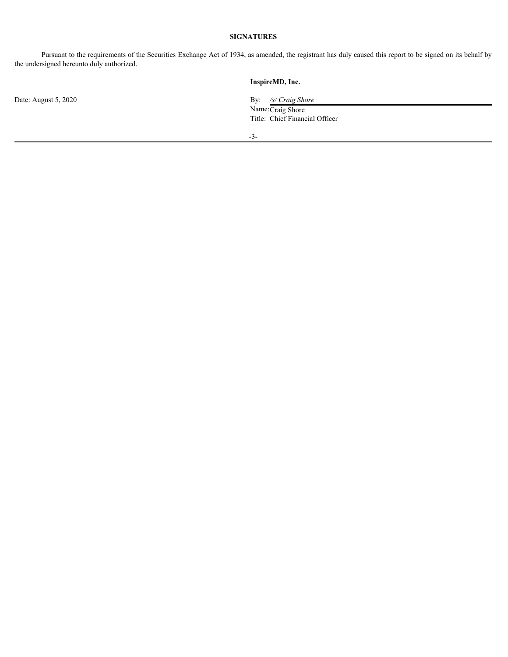#### **SIGNATURES**

Pursuant to the requirements of the Securities Exchange Act of 1934, as amended, the registrant has duly caused this report to be signed on its behalf by the undersigned hereunto duly authorized.

#### **InspireMD, Inc.**

Date: August 5, 2020 **By:** */s/ Craig Shore* By: */s/ Craig Shore* Name: Craig Shore Title: Chief Financial Officer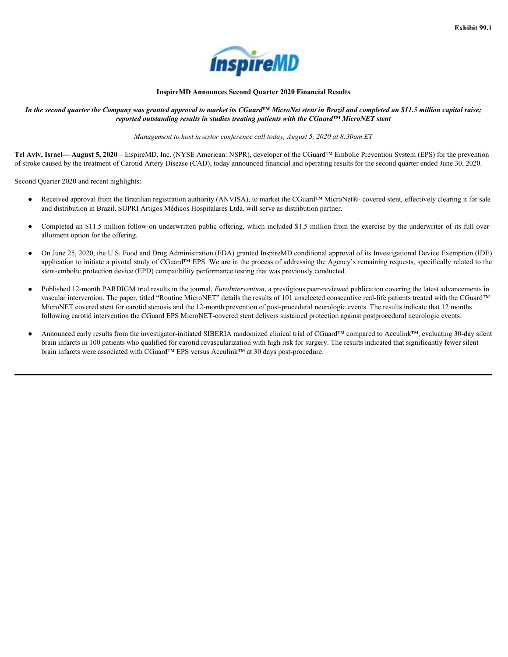

#### **InspireMD Announces Second Quarter 2020 Financial Results**

<span id="page-4-0"></span>*In the second quarter the Company was granted approval to market its CGuard™ MicroNet stent in Brazil and completed an \$11.5 million capital raise; reported outstanding results in studies treating patients with the CGuard™ MicroNET stent*

*Management to host investor conference call today, August 5, 2020 at 8:30am ET*

**Tel Aviv, Israel— August 5, 2020** – InspireMD, Inc. (NYSE American: NSPR), developer of the CGuard™ Embolic Prevention System (EPS) for the prevention of stroke caused by the treatment of Carotid Artery Disease (CAD), today announced financial and operating results for the second quarter ended June 30, 2020.

Second Quarter 2020 and recent highlights:

- Received approval from the Brazilian registration authority (ANVISA), to market the CGuard™ MicroNet®- covered stent, effectively clearing it for sale and distribution in Brazil. SUPRI Artigos Médicos Hospitalares Ltda. will serve as distribution partner.
- Completed an \$11.5 million follow-on underwritten public offering, which included \$1.5 million from the exercise by the underwriter of its full overallotment option for the offering.
- On June 25, 2020, the U.S. Food and Drug Administration (FDA) granted InspireMD conditional approval of its Investigational Device Exemption (IDE) application to initiate a pivotal study of CGuard™ EPS. We are in the process of addressing the Agency's remaining requests, specifically related to the stent-embolic protection device (EPD) compatibility performance testing that was previously conducted.
- Published 12-month PARDIGM trial results in the journal, *EuroIntervention*, a prestigious peer-reviewed publication covering the latest advancements in vascular intervention. The paper, titled "Routine MicroNET" details the results of 101 unselected consecutive real-life patients treated with the CGuard™ MicroNET covered stent for carotid stenosis and the 12-month prevention of post-procedural neurologic events. The results indicate that 12 months following carotid intervention the CGuard EPS MicroNET-covered stent delivers sustained protection against postprocedural neurologic events.
- Announced early results from the investigator-initiated SIBERIA randomized clinical trial of CGuard™ compared to Acculink™, evaluating 30-day silent brain infarcts in 100 patients who qualified for carotid revascularization with high risk for surgery. The results indicated that significantly fewer silent brain infarcts were associated with CGuard™ EPS versus Acculink™ at 30 days post-procedure.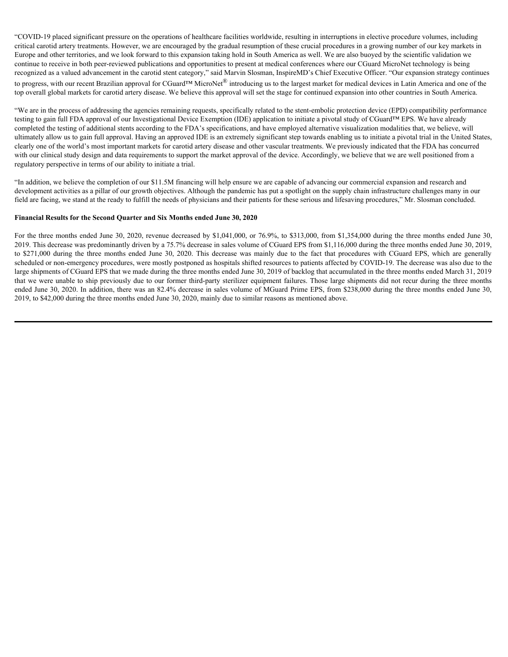"COVID-19 placed significant pressure on the operations of healthcare facilities worldwide, resulting in interruptions in elective procedure volumes, including critical carotid artery treatments. However, we are encouraged by the gradual resumption of these crucial procedures in a growing number of our key markets in Europe and other territories, and we look forward to this expansion taking hold in South America as well. We are also buoyed by the scientific validation we continue to receive in both peer-reviewed publications and opportunities to present at medical conferences where our CGuard MicroNet technology is being recognized as a valued advancement in the carotid stent category," said Marvin Slosman, InspireMD's Chief Executive Officer. "Our expansion strategy continues to progress, with our recent Brazilian approval for CGuard™ MicroNet<sup>®</sup> introducing us to the largest market for medical devices in Latin America and one of the top overall global markets for carotid artery disease. We believe this approval will set the stage for continued expansion into other countries in South America.

"We are in the process of addressing the agencies remaining requests, specifically related to the stent-embolic protection device (EPD) compatibility performance testing to gain full FDA approval of our Investigational Device Exemption (IDE) application to initiate a pivotal study of CGuard™ EPS. We have already completed the testing of additional stents according to the FDA's specifications, and have employed alternative visualization modalities that, we believe, will ultimately allow us to gain full approval. Having an approved IDE is an extremely significant step towards enabling us to initiate a pivotal trial in the United States, clearly one of the world's most important markets for carotid artery disease and other vascular treatments. We previously indicated that the FDA has concurred with our clinical study design and data requirements to support the market approval of the device. Accordingly, we believe that we are well positioned from a regulatory perspective in terms of our ability to initiate a trial.

"In addition, we believe the completion of our \$11.5M financing will help ensure we are capable of advancing our commercial expansion and research and development activities as a pillar of our growth objectives. Although the pandemic has put a spotlight on the supply chain infrastructure challenges many in our field are facing, we stand at the ready to fulfill the needs of physicians and their patients for these serious and lifesaving procedures," Mr. Slosman concluded.

#### **Financial Results for the Second Quarter and Six Months ended June 30, 2020**

For the three months ended June 30, 2020, revenue decreased by \$1,041,000, or 76.9%, to \$313,000, from \$1,354,000 during the three months ended June 30, 2019. This decrease was predominantly driven by a 75.7% decrease in sales volume of CGuard EPS from \$1,116,000 during the three months ended June 30, 2019, COVID-19 placed significant pressure on the operatous of heddheare facilities worldwids, resulting in intermptions in electro a particular controls and the controls are consequently the gambai formed in the controls are p scheduled or non-emergency procedures, were mostly postponed as hospitals shifted resources to patients affected by COVID-19. The decrease was also due to the large shipments of CGuard EPS that we made during the three months ended June 30, 2019 of backlog that accumulated in the three months ended March 31, 2019 that we were unable to ship previously due to our former third-party sterilizer equipment failures. Those large shipments did not recur during the three months ended June 30, 2020. In addition, there was an 82.4% decrease in sales volume of MGuard Prime EPS, from \$238,000 during the three months ended June 30, 2019, to \$42,000 during the three months ended June 30, 2020, mainly due to similar reasons as mentioned above.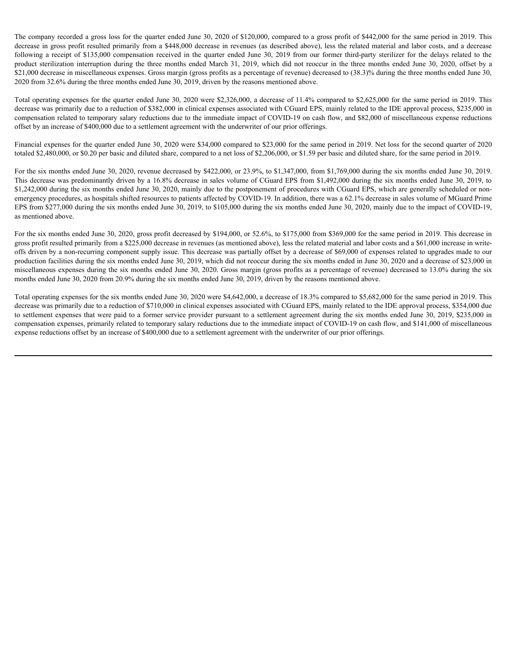The company recorded a gross loss for the quarter ended June 30, 2020 of \$120,000, compared to a gross profit of \$442,000 for the same period in 2019. This decrease in gross profit resulted primarily from a \$448,000 decrease in revenues (as described above), less the related material and labor costs, and a decrease The company recorded a gross loss for the quarter ended June 30, 2020 of \$120,000, compared to a gross profit of \$442,000 for the same period in 2019. This decrease in gross profit resulted primarily from a \$448,000 decrea The company recorded a gross loss for the quarter ended June 30, 2020 of \$120,000, compared to a gross profit of \$442,000 for the same period in 2019. This decrease in grooss profit resulted primarily from a \$448,000 decr \$21,000 decrease in miscellaneous expenses. Gross margin (gross profits as a percentage of revenue) decreased to (38.3)% during the three months ended June 30, 2020 from 32.6% during the three months ended June 30, 2019, driven by the reasons mentioned above.

Total operating expenses for the quarter ended June 30, 2020 were \$2,326,000, a decrease of 11.4% compared to \$2,625,000 for the same period in 2019. This decrease was primarily due to a reduction of \$382,000 in clinical expenses associated with CGuard EPS, mainly related to the IDE approval process, \$235,000 in compensation related to temporary salary reductions due to the immediate impact of COVID-19 on cash flow, and \$82,000 of miscellaneous expense reductions offset by an increase of \$400,000 due to a settlement agreement with the underwriter of our prior offerings.

Financial expenses for the quarter ended June 30, 2020 were \$34,000 compared to \$23,000 for the same period in 2019. Net loss for the second quarter of 2020 totaled \$2,480,000, or \$0.20 per basic and diluted share, compared to a net loss of \$2,206,000, or \$1.59 per basic and diluted share, for the same period in 2019.

For the six months ended June 30, 2020, revenue decreased by \$422,000, or 23.9%, to \$1,347,000, from \$1,769,000 during the six months ended June 30, 2019. This decrease was predominantly driven by a 16.8% decrease in sales volume of CGuard EPS from \$1,492,000 during the six months ended June 30, 2019, to \$1,242,000 during the six months ended June 30, 2020, mainly due to the postponement of procedures with CGuard EPS, which are generally scheduled or nonemergency procedures, as hospitals shifted resources to patients affected by COVID-19. In addition, there was a 62.1% decrease in sales volume of MGuard Prime EPS from \$277,000 during the six months ended June 30, 2019, to \$105,000 during the six months ended June 30, 2020, mainly due to the impact of COVID-19, as mentioned above.

For the six months ended June 30, 2020, gross profit decreased by \$194,000, or 52.6%, to \$175,000 from \$369,000 for the same period in 2019. This decrease in gross profit resulted primarily from a \$225,000 decrease in revenues (as mentioned above), less the related material and labor costs and a \$61,000 increase in writeoffs driven by a non-recurring component supply issue. This decrease was partially offset by a decrease of \$69,000 of expenses related to upgrades made to our production facilities during the six months ended June 30, 2019, which did not reoccur during the six months ended in June 30, 2020 and a decrease of \$23,000 in miscellaneous expenses during the six months ended June 30, 2020. Gross margin (gross profits as a percentage of revenue) decreased to 13.0% during the six months ended June 30, 2020 from 20.9% during the six months ended June 30, 2019, driven by the reasons mentioned above.

Total operating expenses for the six months ended June 30, 2020 were \$4,642,000, a decrease of 18.3% compared to \$5,682,000 for the same period in 2019. This decrease was primarily due to a reduction of \$710,000 in clinical expenses associated with CGuard EPS, mainly related to the IDE approval process, \$354,000 due to settlement expenses that were paid to a former service provider pursuant to a settlement agreement during the six months ended June 30, 2019, \$235,000 in compensation expenses, primarily related to temporary salary reductions due to the immediate impact of COVID-19 on cash flow, and \$141,000 of miscellaneous expense reductions offset by an increase of \$400,000 due to a settlement agreement with the underwriter of our prior offerings.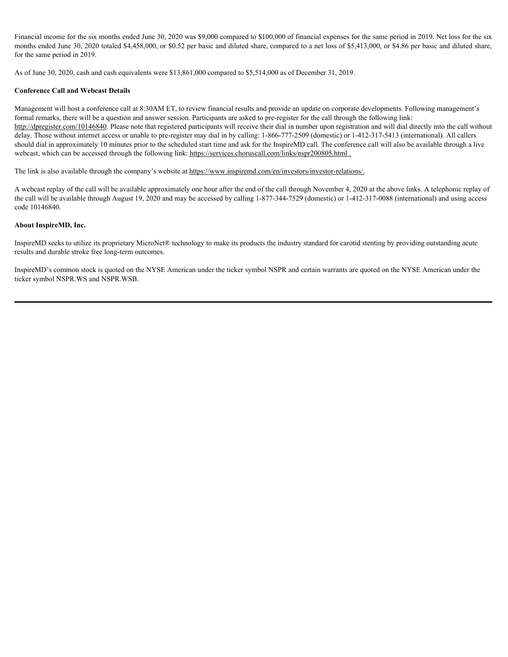Financial income for the six months ended June 30, 2020 was \$9,000 compared to \$100,000 of financial expenses for the same period in 2019. Net loss for the six months ended June 30, 2020 totaled \$4,458,000, or \$0.52 per basic and diluted share, compared to a net loss of \$5,413,000, or \$4.86 per basic and diluted share, for the same period in 2019.

As of June 30, 2020, cash and cash equivalents were \$13,861,000 compared to \$5,514,000 as of December 31, 2019.

#### **Conference Call and Webcast Details**

Management will host a conference call at 8:30AM ET, to review financial results and provide an update on corporate developments. Following management's formal remarks, there will be a question and answer session. Participants are asked to pre-register for the call through the following link: http://dpregister.com/10146840. Please note that registered participants will receive their dial in number upon registration and will dial directly into the call without delay. Those without internet access or unable to pre-register may dial in by calling: 1-866-777-2509 (domestic) or 1-412-317-5413 (international). All callers should dial in approximately 10 minutes prior to the scheduled start time and ask for the InspireMD call. The conference call will also be available through a live webcast, which can be accessed through the following link: https://services.choruscall.com/links/nspr200805.html .

The link is also available through the company's website at https://www.inspiremd.com/en/investors/investor-relations/.

A webcast replay of the call will be available approximately one hour after the end of the call through November 4, 2020 at the above links. A telephonic replay of the call will be available through August 19, 2020 and may be accessed by calling 1-877-344-7529 (domestic) or 1-412-317-0088 (international) and using access code 10146840.

#### **About InspireMD, Inc.**

InspireMD seeks to utilize its proprietary MicroNet® technology to make its products the industry standard for carotid stenting by providing outstanding acute results and durable stroke free long-term outcomes.

InspireMD's common stock is quoted on the NYSE American under the ticker symbol NSPR and certain warrants are quoted on the NYSE American under the ticker symbol NSPR.WS and NSPR.WSB.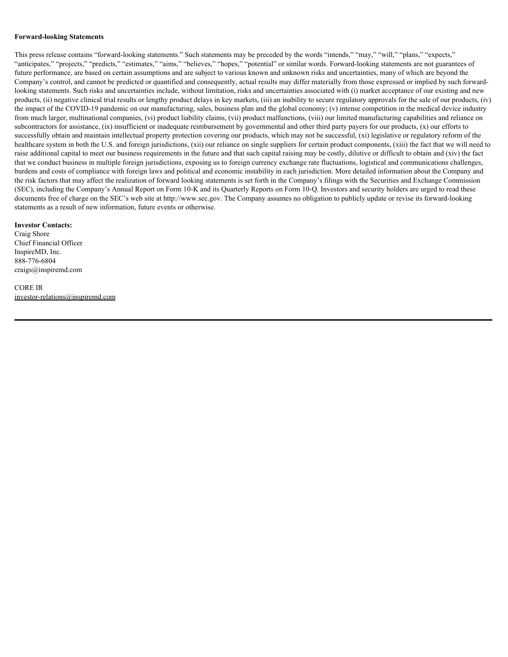#### **Forward-looking Statements**

This press release contains "forward-looking statements." Such statements may be preceded by the words "intends," "may," "will," "plans," "expects," "anticipates," "projects," "predicts," "estimates," "aims," "believes," "hopes," "potential" or similar words. Forward-looking statements are not guarantees of future performance, are based on certain assumptions and are subject to various known and unknown risks and uncertainties, many of which are beyond the Company's control, and cannot be predicted or quantified and consequently, actual results may differ materially from those expressed or implied by such forwardlooking statements. Such risks and uncertainties include, without limitation, risks and uncertainties associated with (i) market acceptance of our existing and new products, (ii) negative clinical trial results or lengthy product delays in key markets, (iii) an inability to secure regulatory approvals for the sale of our products, (iv) the impact of the COVID-19 pandemic on our manufacturing, sales, business plan and the global economy; (v) intense competition in the medical device industry from much larger, multinational companies, (vi) product liability claims, (vii) product malfunctions, (viii) our limited manufacturing capabilities and reliance on subcontractors for assistance, (ix) insufficient or inadequate reimbursement by governmental and other third party payers for our products, (x) our efforts to successfully obtain and maintain intellectual property protection covering our products, which may not be successful, (xi) legislative or regulatory reform of the healthcare system in both the U.S. and foreign jurisdictions, (xii) our reliance on single suppliers for certain product components, (xiii) the fact that we will need to raise additional capital to meet our business requirements in the future and that such capital raising may be costly, dilutive or difficult to obtain and (xiv) the fact that we conduct business in multiple foreign jurisdictions, exposing us to foreign currency exchange rate fluctuations, logistical and communications challenges, burdens and costs of compliance with foreign laws and political and economic instability in each jurisdiction. More detailed information about the Company and the risk factors that may affect the realization of forward looking statements is set forth in the Company's filings with the Securities and Exchange Commission (SEC), including the Company's Annual Report on Form 10-K and its Quarterly Reports on Form 10-Q. Investors and security holders are urged to read these documents free of charge on the SEC's web site at http://www.sec.gov. The Company assumes no obligation to publicly update or revise its forward-looking statements as a result of new information, future events or otherwise.

#### **Investor Contacts:**

Craig Shore Chief Financial Officer InspireMD, Inc. 888-776-6804 craigs@inspiremd.com

#### CORE IR investor-relations@inspiremd.com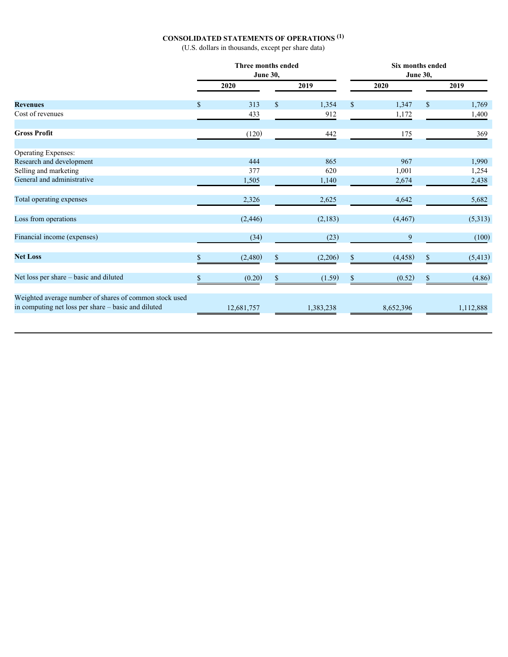#### **CONSOLIDATED STATEMENTS OF OPERATIONS (1)**

(U.S. dollars in thousands, except per share data)

|                                                                                                               | Three months ended<br><b>June 30,</b> |          |           | Six months ended<br><b>June 30,</b> |           |               |           |  |
|---------------------------------------------------------------------------------------------------------------|---------------------------------------|----------|-----------|-------------------------------------|-----------|---------------|-----------|--|
|                                                                                                               | 2020                                  |          | 2019      |                                     | 2020      |               | 2019      |  |
| <b>Revenues</b>                                                                                               | 313                                   | <b>S</b> | 1,354     | -S                                  | 1,347     | <sup>\$</sup> | 1,769     |  |
| Cost of revenues                                                                                              | 433                                   |          | 912       |                                     | 1,172     |               | 1,400     |  |
| <b>Gross Profit</b>                                                                                           | (120)                                 |          | 442       |                                     | 175       |               | 369       |  |
| Operating Expenses:                                                                                           |                                       |          |           |                                     |           |               |           |  |
| Research and development                                                                                      | 444                                   |          | 865       |                                     | 967       |               | 1,990     |  |
| Selling and marketing                                                                                         | 377                                   |          | 620       |                                     | 1,001     |               | 1,254     |  |
| General and administrative                                                                                    | 1,505                                 |          | 1,140     |                                     | 2,674     |               | 2,438     |  |
| Total operating expenses                                                                                      | 2,326                                 |          | 2,625     |                                     | 4,642     |               | 5,682     |  |
| Loss from operations                                                                                          | (2, 446)                              |          | (2,183)   |                                     | (4, 467)  |               | (5,313)   |  |
| Financial income (expenses)                                                                                   | (34)                                  |          | (23)      |                                     | 9         |               | (100)     |  |
| <b>Net Loss</b>                                                                                               | (2,480)                               | \$.      | (2,206)   | <sup>S</sup>                        | (4, 458)  | -S            | (5, 413)  |  |
| Net loss per share - basic and diluted                                                                        | (0.20)                                | <b>S</b> | (1.59)    |                                     | (0.52)    |               | (4.86)    |  |
| Weighted average number of shares of common stock used<br>in computing net loss per share - basic and diluted | 12,681,757                            |          | 1,383,238 |                                     | 8,652,396 |               | 1,112,888 |  |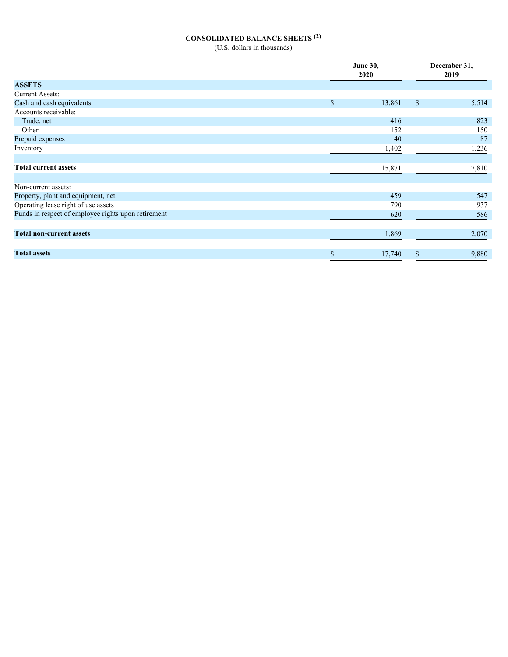## **CONSOLIDATED BALANCE SHEETS (2)**

(U.S. dollars in thousands)

|                                                     |              | <b>June 30,</b> |              | December 31, |  |  |
|-----------------------------------------------------|--------------|-----------------|--------------|--------------|--|--|
|                                                     |              | 2020            | 2019         |              |  |  |
| <b>ASSETS</b>                                       |              |                 |              |              |  |  |
| <b>Current Assets:</b>                              |              |                 |              |              |  |  |
| Cash and cash equivalents                           | $\mathbb{S}$ | 13,861          | $\mathbb{S}$ | 5,514        |  |  |
| Accounts receivable:                                |              |                 |              |              |  |  |
| Trade, net                                          |              | 416             |              | 823          |  |  |
| Other                                               |              | 152             |              | 150          |  |  |
| Prepaid expenses                                    |              | 40              |              | 87           |  |  |
| Inventory                                           |              | 1,402           |              | 1,236        |  |  |
|                                                     |              |                 |              |              |  |  |
| <b>Total current assets</b>                         |              | 15,871          |              | 7,810        |  |  |
|                                                     |              |                 |              |              |  |  |
| Non-current assets:                                 |              |                 |              |              |  |  |
| Property, plant and equipment, net                  |              | 459             |              | 547          |  |  |
| Operating lease right of use assets                 |              | 790             |              | 937          |  |  |
| Funds in respect of employee rights upon retirement |              | 620             |              | 586          |  |  |
|                                                     |              |                 |              |              |  |  |
| <b>Total non-current assets</b>                     |              | 1,869           |              | 2,070        |  |  |
|                                                     |              |                 |              |              |  |  |
| <b>Total assets</b>                                 |              | 17,740          |              | 9,880        |  |  |
|                                                     |              |                 |              |              |  |  |
|                                                     |              |                 |              |              |  |  |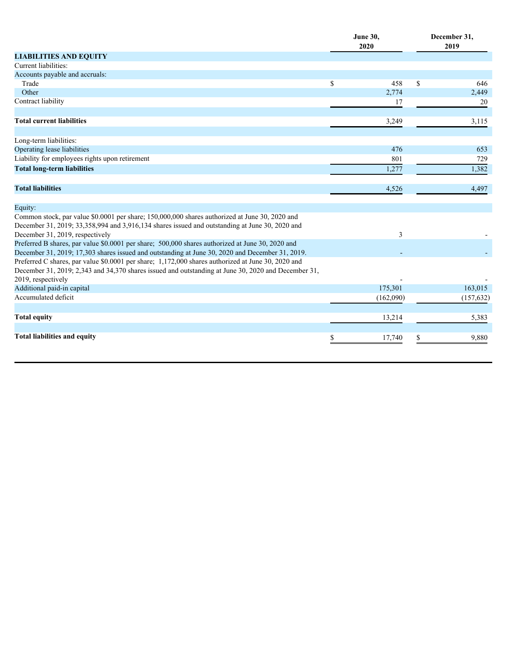|                                                                                                                                                                                                     |    | <b>June 30,</b><br>2020 |    | December 31,<br>2019 |  |  |
|-----------------------------------------------------------------------------------------------------------------------------------------------------------------------------------------------------|----|-------------------------|----|----------------------|--|--|
| <b>LIABILITIES AND EQUITY</b>                                                                                                                                                                       |    |                         |    |                      |  |  |
| Current liabilities:                                                                                                                                                                                |    |                         |    |                      |  |  |
| Accounts payable and accruals:                                                                                                                                                                      |    |                         |    |                      |  |  |
| Trade                                                                                                                                                                                               | \$ | 458                     | \$ | 646                  |  |  |
| Other                                                                                                                                                                                               |    | 2,774                   |    | 2,449                |  |  |
| Contract liability                                                                                                                                                                                  |    | 17                      |    | 20                   |  |  |
| <b>Total current liabilities</b>                                                                                                                                                                    |    | 3,249                   |    | 3,115                |  |  |
| Long-term liabilities:                                                                                                                                                                              |    |                         |    |                      |  |  |
| Operating lease liabilities                                                                                                                                                                         |    | 476                     |    | 653                  |  |  |
| Liability for employees rights upon retirement                                                                                                                                                      |    | 801                     |    | 729                  |  |  |
| <b>Total long-term liabilities</b>                                                                                                                                                                  |    | 1,277                   |    | 1,382                |  |  |
| <b>Total liabilities</b>                                                                                                                                                                            |    | 4,526                   |    | 4,497                |  |  |
| Equity:                                                                                                                                                                                             |    |                         |    |                      |  |  |
| Common stock, par value \$0.0001 per share; 150,000,000 shares authorized at June 30, 2020 and                                                                                                      |    |                         |    |                      |  |  |
| December 31, 2019; 33,358,994 and 3,916,134 shares issued and outstanding at June 30, 2020 and                                                                                                      |    |                         |    |                      |  |  |
| December 31, 2019, respectively                                                                                                                                                                     |    | 3                       |    |                      |  |  |
| Preferred B shares, par value \$0.0001 per share; 500,000 shares authorized at June 30, 2020 and<br>December 31, 2019; 17,303 shares issued and outstanding at June 30, 2020 and December 31, 2019. |    |                         |    |                      |  |  |
| Preferred C shares, par value \$0.0001 per share; 1,172,000 shares authorized at June 30, 2020 and                                                                                                  |    |                         |    |                      |  |  |
| December 31, 2019; 2,343 and 34,370 shares issued and outstanding at June 30, 2020 and December 31,                                                                                                 |    |                         |    |                      |  |  |
| 2019, respectively                                                                                                                                                                                  |    |                         |    |                      |  |  |
| Additional paid-in capital                                                                                                                                                                          |    | 175,301                 |    | 163,015              |  |  |
| Accumulated deficit                                                                                                                                                                                 |    | (162,090)               |    | (157, 632)           |  |  |
|                                                                                                                                                                                                     |    |                         |    |                      |  |  |
| <b>Total equity</b>                                                                                                                                                                                 |    | 13,214                  |    | 5,383                |  |  |
| <b>Total liabilities and equity</b>                                                                                                                                                                 |    | 17,740                  |    | 9,880                |  |  |